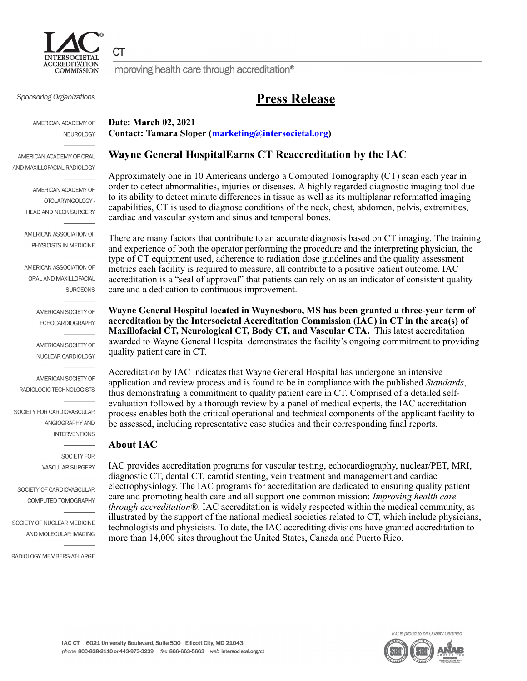

СT

Improving health care through accreditation<sup>®</sup>

## **Press Release**

Sponsoring Organizations

AMERICAN ACADEMY OF **NEUROLOGY** 

AMERICAN ACADEMY OF ORAL AND MAXILLOFACIAL RADIOLOGY

> AMERICAN ACADEMY OF OTOLARYNGOLOGY -HEAD AND NECK SURGERY

AMERICAN ASSOCIATION OF PHYSICISTS IN MEDICINE

AMERICAN ASSOCIATION OF ORAL AND MAXILLOFACIAL **SURGEONS** 

> AMERICAN SOCIETY OF **ECHOCARDIOGRAPHY**

AMERICAN SOCIETY OF NUCLEAR CARDIOLOGY

AMERICAN SOCIETY OF RADIOLOGIC TECHNOLOGISTS

SOCIETY FOR CARDIOVASCULAR ANGIOGRAPHY AND **INTERVENTIONS** 

> SOCIETY FOR **VASCULAR SURGERY**

SOCIETY OF CARDIOVASCULAR COMPUTED TOMOGRAPHY

SOCIETY OF NUCLEAR MEDICINE AND MOLECULAR IMAGING

RADIOLOGY MEMBERS-AT-LARGE

**Date: March 02, 2021 Contact: Tamara Sloper [\(marketing@intersocietal.org](mailTo:marketing@intersocietal.org))**

### **Wayne General HospitalEarns CT Reaccreditation by the IAC**

Approximately one in 10 Americans undergo a Computed Tomography (CT) scan each year in order to detect abnormalities, injuries or diseases. A highly regarded diagnostic imaging tool due to its ability to detect minute differences in tissue as well as its multiplanar reformatted imaging capabilities, CT is used to diagnose conditions of the neck, chest, abdomen, pelvis, extremities, cardiac and vascular system and sinus and temporal bones.

There are many factors that contribute to an accurate diagnosis based on CT imaging. The training and experience of both the operator performing the procedure and the interpreting physician, the type of CT equipment used, adherence to radiation dose guidelines and the quality assessment metrics each facility is required to measure, all contribute to a positive patient outcome. IAC accreditation is a "seal of approval" that patients can rely on as an indicator of consistent quality care and a dedication to continuous improvement.

**Wayne General Hospital located in Waynesboro, MS has been granted a three-year term of accreditation by the Intersocietal Accreditation Commission (IAC) in CT in the area(s) of Maxillofacial CT, Neurological CT, Body CT, and Vascular CTA.**  This latest accreditation awarded to Wayne General Hospital demonstrates the facility's ongoing commitment to providing quality patient care in CT.

Accreditation by IAC indicates that Wayne General Hospital has undergone an intensive application and review process and is found to be in compliance with the published *Standards*, thus demonstrating a commitment to quality patient care in CT. Comprised of a detailed selfevaluation followed by a thorough review by a panel of medical experts, the IAC accreditation process enables both the critical operational and technical components of the applicant facility to be assessed, including representative case studies and their corresponding final reports.

#### **About IAC**

IAC provides accreditation programs for vascular testing, echocardiography, nuclear/PET, MRI, diagnostic CT, dental CT, carotid stenting, vein treatment and management and cardiac electrophysiology. The IAC programs for accreditation are dedicated to ensuring quality patient care and promoting health care and all support one common mission: *Improving health care through accreditation®*. IAC accreditation is widely respected within the medical community, as illustrated by the support of the national medical societies related to CT, which include physicians, technologists and physicists. To date, the IAC accrediting divisions have granted accreditation to more than 14,000 sites throughout the United States, Canada and Puerto Rico.